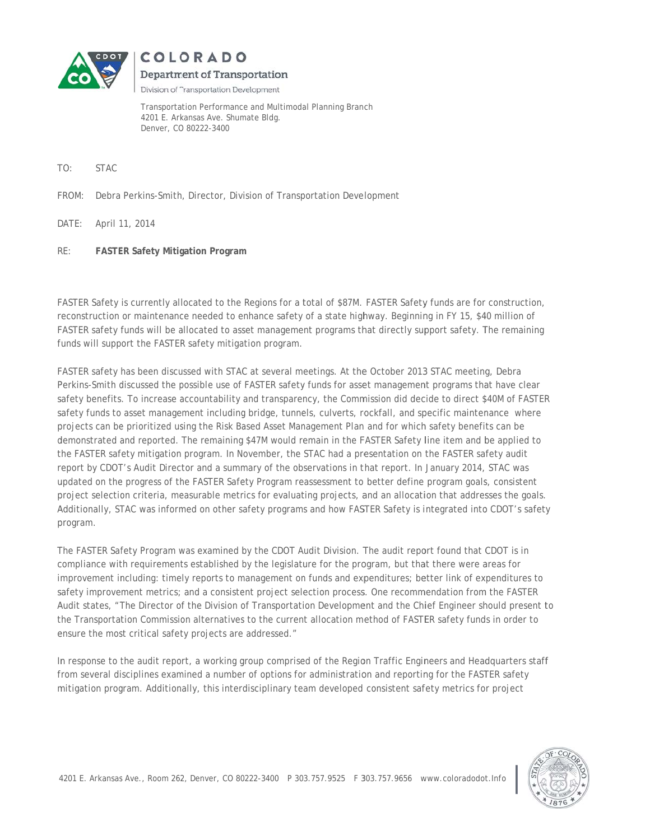

COLORADO Department of Transportation

Division of Transportation Development

Transportation Performance and Multimodal Planning Branch 4201 E. Arkansas Ave. Shumate Bldg. Denver, CO 80222-3400

- TO: **STAC**
- FROM: FROM: Debra Perkins-Smith, Director, Division of Transportation Development
- D DATE: April 1 April 11, 2014
- RE: RE: **FASTER Safety Mitigation Program**

FASTER Safety is currently allocated to the Regions for a total of \$87M. FASTER Safety funds are for construction, reconstruction or maintenance needed to enhance safety of a state highway. Beginning in FY 15, \$40 million of FASTER safety funds will be allocated to asset management programs that directly support safety. The remaining funds will support the FASTER safety mitigation program.

FASTER safety has been discussed with STAC at several meetings. At the October 2013 STAC meeting, Debra Perkins-Smith discussed the possible use of FASTER safety funds for asset management programs that have clear safety benefits. To increase accountability and transparency, the Commission did decide to direct \$40M of FASTER safety funds to asset management including bridge, tunnels, culverts, rockfall, and specific maintenance where projects can be prioritized using the Risk Based Asset Management Plan and for which safety benefits can be demonstrated and reported. The remaining \$47M would remain in the FASTER Safety line item and be applied to the FASTER safety mitigation program. In November, the STAC had a presentation on the FASTER safety audit report by CDOT's Audit Director and a summary of the observations in that report. In January 2014, STAC was updated on the progress of the FASTER Safety Program reassessment to better define program goals, consistent project selection criteria, measurable metrics for evaluating projects, and an allocation that addresses the goals. Additionally, STAC was informed on other safety programs and how FASTER Safety is integrated into CDOT's safety p program. R<br>.<br>to<br>to

The FASTER Safety Program was examined by the CDOT Audit Division. The audit report found that CDOT is in compliance with requirements established by the legislature for the program, but that there were areas for improvement including: timely reports to management on funds and expenditures; better link of expenditures to safety improvement metrics; and a consistent project selection process. One recommendation from the FASTER Audit states, "The Director of the Division of Transportation Development and the Chief Engineer should present t the Transportation Commission alternatives to the current allocation method of FASTER safety funds in order to ensure the most critical safety projects are addressed."

In response to the audit report, a working group comprised of the Region Traffic Engineers and Headquarters staff from several disciplines examined a number of options for administration and reporting for the FASTER safety mitigation program. Additionally, this interdisciplinary team developed consistent safety metrics for project